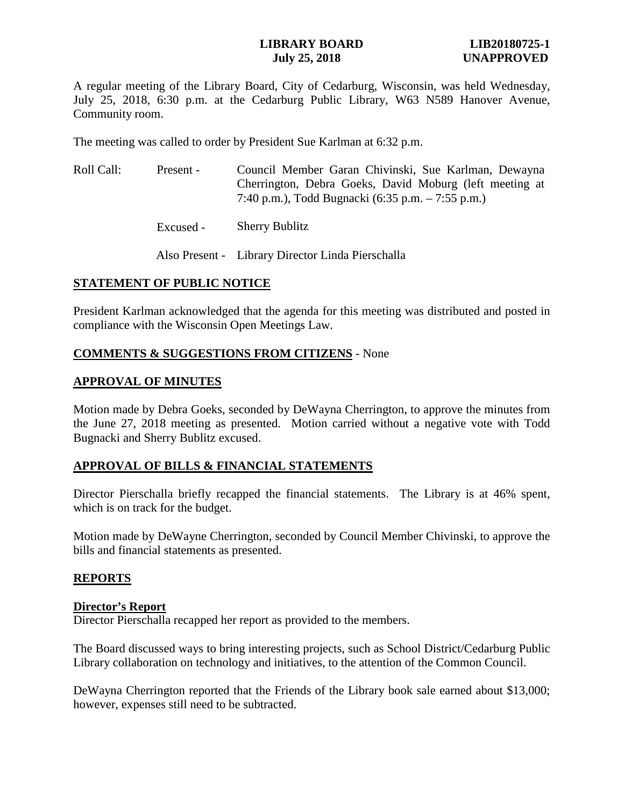# **LIBRARY BOARD LIB20180725-1 July 25, 2018 UNAPPROVED**

A regular meeting of the Library Board, City of Cedarburg, Wisconsin, was held Wednesday, July 25, 2018, 6:30 p.m. at the Cedarburg Public Library, W63 N589 Hanover Avenue, Community room.

The meeting was called to order by President Sue Karlman at 6:32 p.m.

| Roll Call: | Present - | Council Member Garan Chivinski, Sue Karlman, Dewayna<br>Cherrington, Debra Goeks, David Moburg (left meeting at<br>7:40 p.m.), Todd Bugnacki (6:35 p.m. – 7:55 p.m.) |
|------------|-----------|----------------------------------------------------------------------------------------------------------------------------------------------------------------------|
|            | Excused - | <b>Sherry Bublitz</b>                                                                                                                                                |

Also Present - Library Director Linda Pierschalla

# **STATEMENT OF PUBLIC NOTICE**

President Karlman acknowledged that the agenda for this meeting was distributed and posted in compliance with the Wisconsin Open Meetings Law.

# **COMMENTS & SUGGESTIONS FROM CITIZENS** - None

# **APPROVAL OF MINUTES**

Motion made by Debra Goeks, seconded by DeWayna Cherrington, to approve the minutes from the June 27, 2018 meeting as presented. Motion carried without a negative vote with Todd Bugnacki and Sherry Bublitz excused.

# **APPROVAL OF BILLS & FINANCIAL STATEMENTS**

Director Pierschalla briefly recapped the financial statements. The Library is at 46% spent, which is on track for the budget.

Motion made by DeWayne Cherrington, seconded by Council Member Chivinski, to approve the bills and financial statements as presented.

#### **REPORTS**

#### **Director's Report**

Director Pierschalla recapped her report as provided to the members.

The Board discussed ways to bring interesting projects, such as School District/Cedarburg Public Library collaboration on technology and initiatives, to the attention of the Common Council.

DeWayna Cherrington reported that the Friends of the Library book sale earned about \$13,000; however, expenses still need to be subtracted.